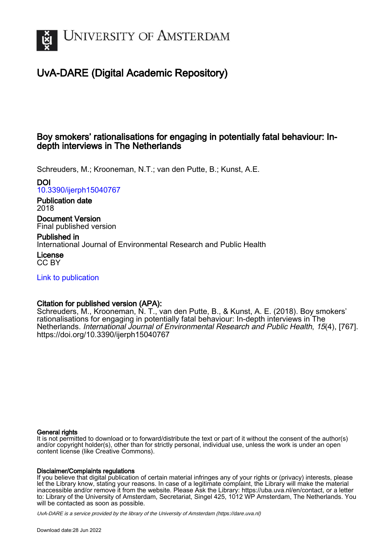

# UvA-DARE (Digital Academic Repository)

# Boy smokers' rationalisations for engaging in potentially fatal behaviour: Indepth interviews in The Netherlands

Schreuders, M.; Krooneman, N.T.; van den Putte, B.; Kunst, A.E.

# DOI

[10.3390/ijerph15040767](https://doi.org/10.3390/ijerph15040767)

# Publication date 2018

Document Version Final published version

# Published in

International Journal of Environmental Research and Public Health

License CC BY

[Link to publication](https://dare.uva.nl/personal/pure/en/publications/boy-smokers-rationalisations-for-engaging-in-potentially-fatal-behaviour-indepth-interviews-in-the-netherlands(8eaf0c3b-edae-486a-bd32-c71f6ae5d3e6).html)

# Citation for published version (APA):

Schreuders, M., Krooneman, N. T., van den Putte, B., & Kunst, A. E. (2018). Boy smokers' rationalisations for engaging in potentially fatal behaviour: In-depth interviews in The Netherlands. International Journal of Environmental Research and Public Health, 15(4), [767]. <https://doi.org/10.3390/ijerph15040767>

# General rights

It is not permitted to download or to forward/distribute the text or part of it without the consent of the author(s) and/or copyright holder(s), other than for strictly personal, individual use, unless the work is under an open content license (like Creative Commons).

# Disclaimer/Complaints regulations

If you believe that digital publication of certain material infringes any of your rights or (privacy) interests, please let the Library know, stating your reasons. In case of a legitimate complaint, the Library will make the material inaccessible and/or remove it from the website. Please Ask the Library: https://uba.uva.nl/en/contact, or a letter to: Library of the University of Amsterdam, Secretariat, Singel 425, 1012 WP Amsterdam, The Netherlands. You will be contacted as soon as possible.

UvA-DARE is a service provided by the library of the University of Amsterdam (http*s*://dare.uva.nl)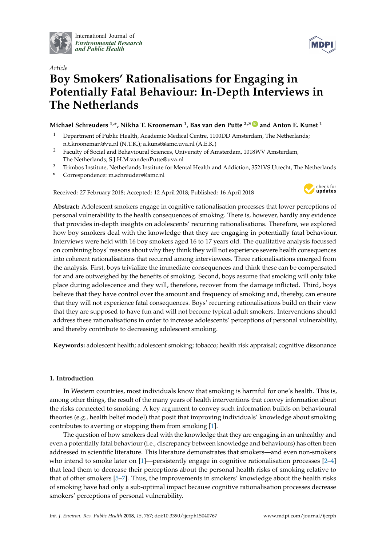

International Journal of *[Environmental Research](http://www.mdpi.com/journal/ijerph) and Public Health*



# *Article* **Boy Smokers' Rationalisations for Engaging in Potentially Fatal Behaviour: In-Depth Interviews in The Netherlands**

# **Michael Schreuders 1,\*, Nikha T. Krooneman <sup>1</sup> , Bas van den Putte 2,3 [ID](https://orcid.org/0000-0002-3635-6880) and Anton E. Kunst <sup>1</sup>**

- <sup>1</sup> Department of Public Health, Academic Medical Centre, 1100DD Amsterdam, The Netherlands; n.t.krooneman@vu.nl (N.T.K.); a.kunst@amc.uva.nl (A.E.K.)
- <sup>2</sup> Faculty of Social and Behavioural Sciences, University of Amsterdam, 1018WV Amsterdam, The Netherlands; S.J.H.M.vandenPutte@uva.nl
- <sup>3</sup> Trimbos Institute, Netherlands Institute for Mental Health and Addiction, 3521VS Utrecht, The Netherlands
- **\*** Correspondence: m.schreuders@amc.nl

Received: 27 February 2018; Accepted: 12 April 2018; Published: 16 April 2018



**Abstract:** Adolescent smokers engage in cognitive rationalisation processes that lower perceptions of personal vulnerability to the health consequences of smoking. There is, however, hardly any evidence that provides in-depth insights on adolescents' recurring rationalisations. Therefore, we explored how boy smokers deal with the knowledge that they are engaging in potentially fatal behaviour. Interviews were held with 16 boy smokers aged 16 to 17 years old. The qualitative analysis focussed on combining boys' reasons about why they think they will not experience severe health consequences into coherent rationalisations that recurred among interviewees. Three rationalisations emerged from the analysis. First, boys trivialize the immediate consequences and think these can be compensated for and are outweighed by the benefits of smoking. Second, boys assume that smoking will only take place during adolescence and they will, therefore, recover from the damage inflicted. Third, boys believe that they have control over the amount and frequency of smoking and, thereby, can ensure that they will not experience fatal consequences. Boys' recurring rationalisations build on their view that they are supposed to have fun and will not become typical adult smokers. Interventions should address these rationalisations in order to increase adolescents' perceptions of personal vulnerability, and thereby contribute to decreasing adolescent smoking.

**Keywords:** adolescent health; adolescent smoking; tobacco; health risk appraisal; cognitive dissonance

# **1. Introduction**

In Western countries, most individuals know that smoking is harmful for one's health. This is, among other things, the result of the many years of health interventions that convey information about the risks connected to smoking. A key argument to convey such information builds on behavioural theories (e.g., health belief model) that posit that improving individuals' knowledge about smoking contributes to averting or stopping them from smoking [\[1\]](#page-11-0).

The question of how smokers deal with the knowledge that they are engaging in an unhealthy and even a potentially fatal behaviour (i.e., discrepancy between knowledge and behaviours) has often been addressed in scientific literature. This literature demonstrates that smokers—and even non-smokers who intend to smoke later on [\[1\]](#page-11-0)—persistently engage in cognitive rationalisation processes [\[2](#page-11-1)[–4\]](#page-11-2) that lead them to decrease their perceptions about the personal health risks of smoking relative to that of other smokers [\[5](#page-11-3)[–7\]](#page-11-4). Thus, the improvements in smokers' knowledge about the health risks of smoking have had only a sub-optimal impact because cognitive rationalisation processes decrease smokers' perceptions of personal vulnerability.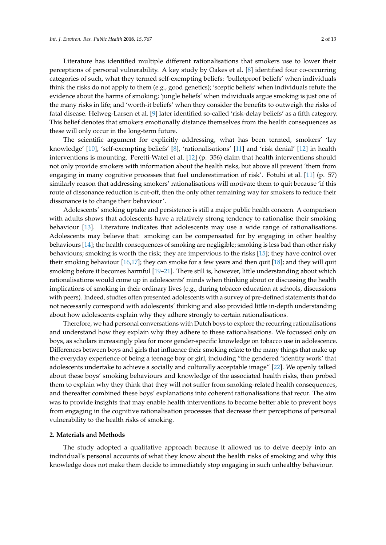Literature has identified multiple different rationalisations that smokers use to lower their perceptions of personal vulnerability. A key study by Oakes et al. [\[8\]](#page-11-5) identified four co-occurring categories of such, what they termed self-exempting beliefs: 'bulletproof beliefs' when individuals think the risks do not apply to them (e.g., good genetics); 'sceptic beliefs' when individuals refute the evidence about the harms of smoking; 'jungle beliefs' when individuals argue smoking is just one of the many risks in life; and 'worth-it beliefs' when they consider the benefits to outweigh the risks of fatal disease. Helweg-Larsen et al. [\[9\]](#page-11-6) later identified so-called 'risk-delay beliefs' as a fifth category. This belief denotes that smokers emotionally distance themselves from the health consequences as these will only occur in the long-term future.

The scientific argument for explicitly addressing, what has been termed, smokers' 'lay knowledge' [\[10\]](#page-11-7), 'self-exempting beliefs' [\[8\]](#page-11-5), 'rationalisations' [\[11\]](#page-12-0) and 'risk denial' [\[12\]](#page-12-1) in health interventions is mounting. Peretti-Watel et al. [\[12\]](#page-12-1) (p. 356) claim that health interventions should not only provide smokers with information about the health risks, but above all prevent 'them from engaging in many cognitive processes that fuel underestimation of risk'. Fotuhi et al. [\[11\]](#page-12-0) (p. 57) similarly reason that addressing smokers' rationalisations will motivate them to quit because 'if this route of dissonance reduction is cut-off, then the only other remaining way for smokers to reduce their dissonance is to change their behaviour'.

Adolescents' smoking uptake and persistence is still a major public health concern. A comparison with adults shows that adolescents have a relatively strong tendency to rationalise their smoking behaviour [\[13\]](#page-12-2). Literature indicates that adolescents may use a wide range of rationalisations. Adolescents may believe that: smoking can be compensated for by engaging in other healthy behaviours [\[14\]](#page-12-3); the health consequences of smoking are negligible; smoking is less bad than other risky behaviours; smoking is worth the risk; they are impervious to the risks [\[15\]](#page-12-4); they have control over their smoking behaviour [\[16,](#page-12-5)[17\]](#page-12-6); they can smoke for a few years and then quit [\[18\]](#page-12-7); and they will quit smoking before it becomes harmful [\[19](#page-12-8)[–21\]](#page-12-9). There still is, however, little understanding about which rationalisations would come up in adolescents' minds when thinking about or discussing the health implications of smoking in their ordinary lives (e.g., during tobacco education at schools, discussions with peers). Indeed, studies often presented adolescents with a survey of pre-defined statements that do not necessarily correspond with adolescents' thinking and also provided little in-depth understanding about how adolescents explain why they adhere strongly to certain rationalisations.

Therefore, we had personal conversations with Dutch boys to explore the recurring rationalisations and understand how they explain why they adhere to these rationalisations. We focussed only on boys, as scholars increasingly plea for more gender-specific knowledge on tobacco use in adolescence. Differences between boys and girls that influence their smoking relate to the many things that make up the everyday experience of being a teenage boy or girl, including "the gendered 'identity work' that adolescents undertake to achieve a socially and culturally acceptable image" [\[22\]](#page-12-10). We openly talked about these boys' smoking behaviours and knowledge of the associated health risks, then probed them to explain why they think that they will not suffer from smoking-related health consequences, and thereafter combined these boys' explanations into coherent rationalisations that recur. The aim was to provide insights that may enable health interventions to become better able to prevent boys from engaging in the cognitive rationalisation processes that decrease their perceptions of personal vulnerability to the health risks of smoking.

## **2. Materials and Methods**

The study adopted a qualitative approach because it allowed us to delve deeply into an individual's personal accounts of what they know about the health risks of smoking and why this knowledge does not make them decide to immediately stop engaging in such unhealthy behaviour.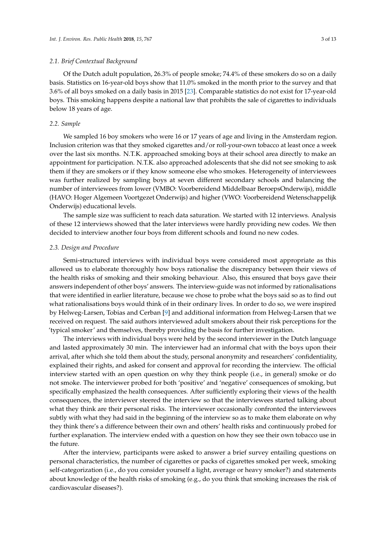### *2.1. Brief Contextual Background*

Of the Dutch adult population, 26.3% of people smoke; 74.4% of these smokers do so on a daily basis. Statistics on 16-year-old boys show that 11.0% smoked in the month prior to the survey and that 3.6% of all boys smoked on a daily basis in 2015 [\[23\]](#page-12-11). Comparable statistics do not exist for 17-year-old boys. This smoking happens despite a national law that prohibits the sale of cigarettes to individuals below 18 years of age.

# *2.2. Sample*

We sampled 16 boy smokers who were 16 or 17 years of age and living in the Amsterdam region. Inclusion criterion was that they smoked cigarettes and/or roll-your-own tobacco at least once a week over the last six months. N.T.K. approached smoking boys at their school area directly to make an appointment for participation. N.T.K. also approached adolescents that she did not see smoking to ask them if they are smokers or if they know someone else who smokes. Heterogeneity of interviewees was further realized by sampling boys at seven different secondary schools and balancing the number of interviewees from lower (VMBO: Voorbereidend Middelbaar BeroepsOnderwijs), middle (HAVO: Hoger Algemeen Voortgezet Onderwijs) and higher (VWO: Voorbereidend Wetenschappelijk Onderwijs) educational levels.

The sample size was sufficient to reach data saturation. We started with 12 interviews. Analysis of these 12 interviews showed that the later interviews were hardly providing new codes. We then decided to interview another four boys from different schools and found no new codes.

#### *2.3. Design and Procedure*

Semi-structured interviews with individual boys were considered most appropriate as this allowed us to elaborate thoroughly how boys rationalise the discrepancy between their views of the health risks of smoking and their smoking behaviour. Also, this ensured that boys gave their answers independent of other boys' answers. The interview-guide was not informed by rationalisations that were identified in earlier literature, because we chose to probe what the boys said so as to find out what rationalisations boys would think of in their ordinary lives. In order to do so, we were inspired by Helweg-Larsen, Tobias and Cerban [\[9\]](#page-11-6) and additional information from Helweg-Larsen that we received on request. The said authors interviewed adult smokers about their risk perceptions for the 'typical smoker' and themselves, thereby providing the basis for further investigation.

The interviews with individual boys were held by the second interviewer in the Dutch language and lasted approximately 30 min. The interviewer had an informal chat with the boys upon their arrival, after which she told them about the study, personal anonymity and researchers' confidentiality, explained their rights, and asked for consent and approval for recording the interview. The official interview started with an open question on why they think people (i.e., in general) smoke or do not smoke. The interviewer probed for both 'positive' and 'negative' consequences of smoking, but specifically emphasized the health consequences. After sufficiently exploring their views of the health consequences, the interviewer steered the interview so that the interviewees started talking about what they think are their personal risks. The interviewer occasionally confronted the interviewees subtly with what they had said in the beginning of the interview so as to make them elaborate on why they think there's a difference between their own and others' health risks and continuously probed for further explanation. The interview ended with a question on how they see their own tobacco use in the future.

After the interview, participants were asked to answer a brief survey entailing questions on personal characteristics, the number of cigarettes or packs of cigarettes smoked per week, smoking self-categorization (i.e., do you consider yourself a light, average or heavy smoker?) and statements about knowledge of the health risks of smoking (e.g., do you think that smoking increases the risk of cardiovascular diseases?).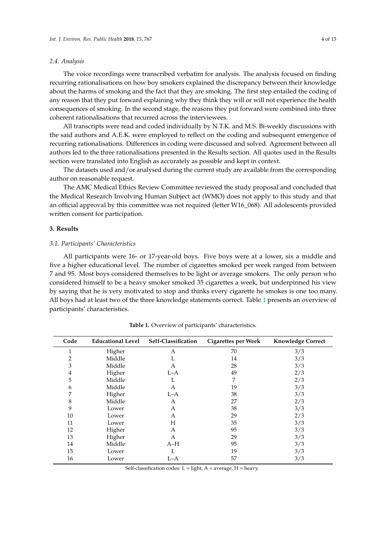## *2.4. Analysis*

The voice recordings were transcribed verbatim for analysis. The analysis focused on finding recurring rationalisations on how boy smokers explained the discrepancy between their knowledge about the harms of smoking and the fact that they are smoking. The first step entailed the coding of any reason that they put forward explaining why they think they will or will not experience the health consequences of smoking. In the second stage, the reasons they put forward were combined into three coherent rationalisations that recurred across the interviewees.

All transcripts were read and coded individually by N.T.K. and M.S. Bi-weekly discussions with the said authors and A.E.K. were employed to reflect on the coding and subsequent emergence of recurring rationalisations. Differences in coding were discussed and solved. Agreement between all authors led to the three rationalisations presented in the Results section. All quotes used in the Results section were translated into English as accurately as possible and kept in context.

The datasets used and/or analysed during the current study are available from the corresponding author on reasonable request.

The AMC Medical Ethics Review Committee reviewed the study proposal and concluded that the Medical Research Involving Human Subject act (WMO) does not apply to this study and that an official approval by this committee was not required (letter W16\_068). All adolescents provided written consent for participation.

## **3. Results**

# *3.1. Participants' Characteristics*

All participants were 16- or 17-year-old boys. Five boys were at a lower, six a middle and five a higher educational level. The number of cigarettes smoked per week ranged from between 7 and 95. Most boys considered themselves to be light or average smokers. The only person who considered himself to be a heavy smoker smoked 35 cigarettes a week, but underpinned his view by saying that he is very motivated to stop and thinks every cigarette he smokes is one too many. All boys had at least two of the three knowledge statements correct. Table [1](#page-4-0) presents an overview of participants' characteristics.

<span id="page-4-0"></span>

| Code                    | <b>Educational Level</b> | Self-Classification | Cigarettes per Week | <b>Knowledge Correct</b> |
|-------------------------|--------------------------|---------------------|---------------------|--------------------------|
| 1                       | Higher                   | Α                   | 70                  | 3/3                      |
| 2                       | Middle                   | L                   | 14                  | 3/3                      |
| 3                       | Middle                   | А                   | 28                  | 3/3                      |
| $\overline{\mathbf{4}}$ | Higher                   | $L-A$               | 49                  | 2/3                      |
| 5                       | Middle                   | L                   | 7                   | 2/3                      |
| 6                       | Middle                   | А                   | 19                  | 3/3                      |
| 7                       | Higher                   | $L-A$               | 38                  | 3/3                      |
| 8                       | Middle                   | А                   | 27                  | 2/3                      |
| 9                       | Lower                    | А                   | 38                  | 3/3                      |
| 10                      | Lower                    | А                   | 29                  | 2/3                      |
| 11                      | Lower                    | Н                   | 35                  | 3/3                      |
| 12                      | Higher                   | А                   | 95                  | 3/3                      |
| 13                      | Higher                   | А                   | 29                  | 3/3                      |
| 14                      | Middle                   | $A-H$               | 95                  | 3/3                      |
| 15                      | Lower                    | L                   | 19                  | 3/3                      |
| 16                      | Lower                    | L-A                 | 57                  | 3/3                      |

**Table 1.** Overview of participants' characteristics.

Self-classification codes:  $L =$  light,  $A =$  average,  $H =$  heavy.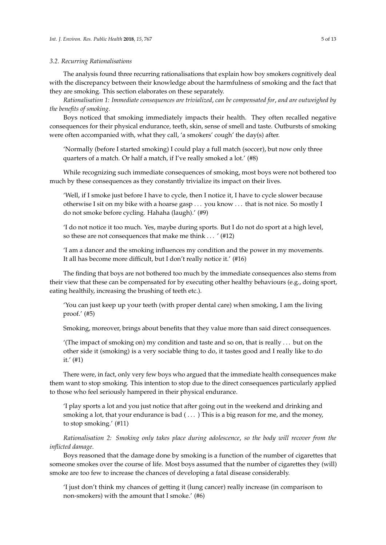## *3.2. Recurring Rationalisations*

The analysis found three recurring rationalisations that explain how boy smokers cognitively deal with the discrepancy between their knowledge about the harmfulness of smoking and the fact that they are smoking. This section elaborates on these separately.

*Rationalisation 1: Immediate consequences are trivialized*, *can be compensated for*, *and are outweighed by the benefits of smoking*.

Boys noticed that smoking immediately impacts their health. They often recalled negative consequences for their physical endurance, teeth, skin, sense of smell and taste. Outbursts of smoking were often accompanied with, what they call, 'a smokers' cough' the day(s) after.

'Normally (before I started smoking) I could play a full match (soccer), but now only three quarters of a match. Or half a match, if I've really smoked a lot.' (#8)

While recognizing such immediate consequences of smoking, most boys were not bothered too much by these consequences as they constantly trivialize its impact on their lives.

'Well, if I smoke just before I have to cycle, then I notice it, I have to cycle slower because otherwise I sit on my bike with a hoarse gasp . . . you know . . . that is not nice. So mostly I do not smoke before cycling. Hahaha (laugh).' (#9)

'I do not notice it too much. Yes, maybe during sports. But I do not do sport at a high level, so these are not consequences that make me think . . . ' (#12)

'I am a dancer and the smoking influences my condition and the power in my movements. It all has become more difficult, but I don't really notice it.' (#16)

The finding that boys are not bothered too much by the immediate consequences also stems from their view that these can be compensated for by executing other healthy behaviours (e.g., doing sport, eating healthily, increasing the brushing of teeth etc.).

'You can just keep up your teeth (with proper dental care) when smoking, I am the living proof.' (#5)

Smoking, moreover, brings about benefits that they value more than said direct consequences.

'(The impact of smoking on) my condition and taste and so on, that is really . . . but on the other side it (smoking) is a very sociable thing to do, it tastes good and I really like to do it.' (#1)

There were, in fact, only very few boys who argued that the immediate health consequences make them want to stop smoking. This intention to stop due to the direct consequences particularly applied to those who feel seriously hampered in their physical endurance.

'I play sports a lot and you just notice that after going out in the weekend and drinking and smoking a lot, that your endurance is bad  $(\ldots)$  This is a big reason for me, and the money, to stop smoking.' (#11)

*Rationalisation 2: Smoking only takes place during adolescence*, *so the body will recover from the inflicted damage*.

Boys reasoned that the damage done by smoking is a function of the number of cigarettes that someone smokes over the course of life. Most boys assumed that the number of cigarettes they (will) smoke are too few to increase the chances of developing a fatal disease considerably.

'I just don't think my chances of getting it (lung cancer) really increase (in comparison to non-smokers) with the amount that I smoke.' (#6)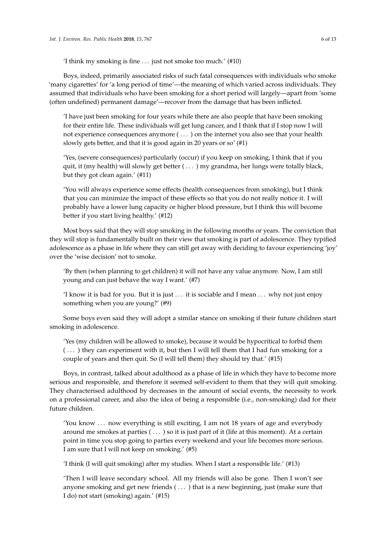'I think my smoking is fine . . . just not smoke too much.' (#10)

Boys, indeed, primarily associated risks of such fatal consequences with individuals who smoke 'many cigarettes' for 'a long period of time'—the meaning of which varied across individuals. They assumed that individuals who have been smoking for a short period will largely—apart from 'some (often undefined) permanent damage'—recover from the damage that has been inflicted.

'I have just been smoking for four years while there are also people that have been smoking for their entire life. These individuals will get lung cancer, and I think that if I stop now I will not experience consequences anymore ( . . . ) on the internet you also see that your health slowly gets better, and that it is good again in 20 years or so' (#1)

'Yes, (severe consequences) particularly (occur) if you keep on smoking, I think that if you quit, it (my health) will slowly get better ( . . . ) my grandma, her lungs were totally black, but they got clean again.' (#11)

'You will always experience some effects (health consequences from smoking), but I think that you can minimize the impact of these effects so that you do not really notice it. I will probably have a lower lung capacity or higher blood pressure, but I think this will become better if you start living healthy.' (#12)

Most boys said that they will stop smoking in the following months or years. The conviction that they will stop is fundamentally built on their view that smoking is part of adolescence. They typified adolescence as a phase in life where they can still get away with deciding to favour experiencing 'joy' over the 'wise decision' not to smoke.

'By then (when planning to get children) it will not have any value anymore. Now, I am still young and can just behave the way I want.' (#7)

'I know it is bad for you. But it is just . . . it is sociable and I mean . . . why not just enjoy something when you are young?' (#9)

Some boys even said they will adopt a similar stance on smoking if their future children start smoking in adolescence.

'Yes (my children will be allowed to smoke), because it would be hypocritical to forbid them ( . . . ) they can experiment with it, but then I will tell them that I had fun smoking for a couple of years and then quit. So (I will tell them) they should try that.' (#15)

Boys, in contrast, talked about adulthood as a phase of life in which they have to become more serious and responsible, and therefore it seemed self-evident to them that they will quit smoking. They characterised adulthood by decreases in the amount of social events, the necessity to work on a professional career, and also the idea of being a responsible (i.e., non-smoking) dad for their future children.

'You know . . . now everything is still exciting, I am not 18 years of age and everybody around me smokes at parties ( . . . ) so it is just part of it (life at this moment). At a certain point in time you stop going to parties every weekend and your life becomes more serious. I am sure that I will not keep on smoking.' (#5)

'I think (I will quit smoking) after my studies. When I start a responsible life.' (#13)

'Then I will leave secondary school. All my friends will also be gone. Then I won't see anyone smoking and get new friends ( . . . ) that is a new beginning, just (make sure that I do) not start (smoking) again.' (#15)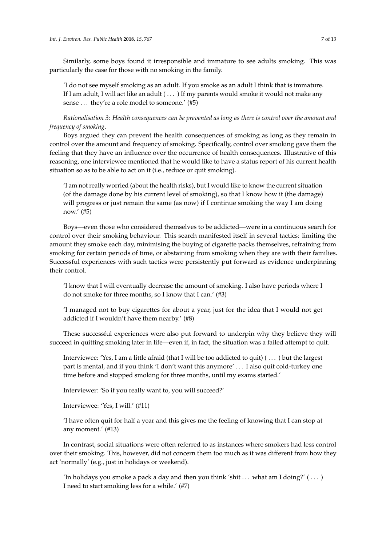Similarly, some boys found it irresponsible and immature to see adults smoking. This was particularly the case for those with no smoking in the family.

'I do not see myself smoking as an adult. If you smoke as an adult I think that is immature. If I am adult, I will act like an adult ( . . . ) If my parents would smoke it would not make any sense ... they're a role model to someone.' (#5)

*Rationalisation 3: Health consequences can be prevented as long as there is control over the amount and frequency of smoking*.

Boys argued they can prevent the health consequences of smoking as long as they remain in control over the amount and frequency of smoking. Specifically, control over smoking gave them the feeling that they have an influence over the occurrence of health consequences. Illustrative of this reasoning, one interviewee mentioned that he would like to have a status report of his current health situation so as to be able to act on it (i.e., reduce or quit smoking).

'I am not really worried (about the health risks), but I would like to know the current situation (of the damage done by his current level of smoking), so that I know how it (the damage) will progress or just remain the same (as now) if I continue smoking the way I am doing now.' (#5)

Boys—even those who considered themselves to be addicted—were in a continuous search for control over their smoking behaviour. This search manifested itself in several tactics: limiting the amount they smoke each day, minimising the buying of cigarette packs themselves, refraining from smoking for certain periods of time, or abstaining from smoking when they are with their families. Successful experiences with such tactics were persistently put forward as evidence underpinning their control.

'I know that I will eventually decrease the amount of smoking. I also have periods where I do not smoke for three months, so I know that I can.' (#3)

'I managed not to buy cigarettes for about a year, just for the idea that I would not get addicted if I wouldn't have them nearby.' (#8)

These successful experiences were also put forward to underpin why they believe they will succeed in quitting smoking later in life—even if, in fact, the situation was a failed attempt to quit.

Interviewee: 'Yes, I am a little afraid (that I will be too addicted to quit) ( . . . ) but the largest part is mental, and if you think 'I don't want this anymore' . . . I also quit cold-turkey one time before and stopped smoking for three months, until my exams started.'

Interviewer: 'So if you really want to, you will succeed?'

Interviewee: 'Yes, I will.' (#11)

'I have often quit for half a year and this gives me the feeling of knowing that I can stop at any moment.' (#13)

In contrast, social situations were often referred to as instances where smokers had less control over their smoking. This, however, did not concern them too much as it was different from how they act 'normally' (e.g., just in holidays or weekend).

'In holidays you smoke a pack a day and then you think 'shit  $\dots$  what am I doing?'  $(\dots)$ I need to start smoking less for a while.' (#7)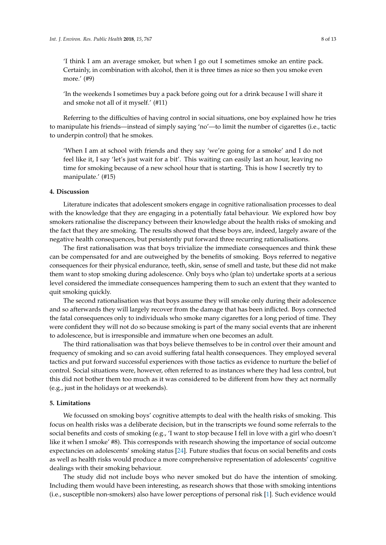'I think I am an average smoker, but when I go out I sometimes smoke an entire pack. Certainly, in combination with alcohol, then it is three times as nice so then you smoke even more.' (#9)

'In the weekends I sometimes buy a pack before going out for a drink because I will share it and smoke not all of it myself.' (#11)

Referring to the difficulties of having control in social situations, one boy explained how he tries to manipulate his friends—instead of simply saying 'no'—to limit the number of cigarettes (i.e., tactic to underpin control) that he smokes.

'When I am at school with friends and they say 'we're going for a smoke' and I do not feel like it, I say 'let's just wait for a bit'. This waiting can easily last an hour, leaving no time for smoking because of a new school hour that is starting. This is how I secretly try to manipulate.' (#15)

# **4. Discussion**

Literature indicates that adolescent smokers engage in cognitive rationalisation processes to deal with the knowledge that they are engaging in a potentially fatal behaviour. We explored how boy smokers rationalise the discrepancy between their knowledge about the health risks of smoking and the fact that they are smoking. The results showed that these boys are, indeed, largely aware of the negative health consequences, but persistently put forward three recurring rationalisations.

The first rationalisation was that boys trivialize the immediate consequences and think these can be compensated for and are outweighed by the benefits of smoking. Boys referred to negative consequences for their physical endurance, teeth, skin, sense of smell and taste, but these did not make them want to stop smoking during adolescence. Only boys who (plan to) undertake sports at a serious level considered the immediate consequences hampering them to such an extent that they wanted to quit smoking quickly.

The second rationalisation was that boys assume they will smoke only during their adolescence and so afterwards they will largely recover from the damage that has been inflicted. Boys connected the fatal consequences only to individuals who smoke many cigarettes for a long period of time. They were confident they will not do so because smoking is part of the many social events that are inherent to adolescence, but is irresponsible and immature when one becomes an adult.

The third rationalisation was that boys believe themselves to be in control over their amount and frequency of smoking and so can avoid suffering fatal health consequences. They employed several tactics and put forward successful experiences with those tactics as evidence to nurture the belief of control. Social situations were, however, often referred to as instances where they had less control, but this did not bother them too much as it was considered to be different from how they act normally (e.g., just in the holidays or at weekends).

# **5. Limitations**

We focussed on smoking boys' cognitive attempts to deal with the health risks of smoking. This focus on health risks was a deliberate decision, but in the transcripts we found some referrals to the social benefits and costs of smoking (e.g., 'I want to stop because I fell in love with a girl who doesn't like it when I smoke' #8). This corresponds with research showing the importance of social outcome expectancies on adolescents' smoking status [\[24\]](#page-12-12). Future studies that focus on social benefits and costs as well as health risks would produce a more comprehensive representation of adolescents' cognitive dealings with their smoking behaviour.

The study did not include boys who never smoked but do have the intention of smoking. Including them would have been interesting, as research shows that those with smoking intentions (i.e., susceptible non-smokers) also have lower perceptions of personal risk [\[1\]](#page-11-0). Such evidence would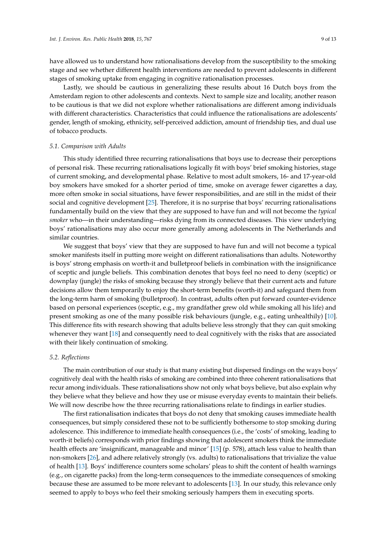have allowed us to understand how rationalisations develop from the susceptibility to the smoking stage and see whether different health interventions are needed to prevent adolescents in different stages of smoking uptake from engaging in cognitive rationalisation processes.

Lastly, we should be cautious in generalizing these results about 16 Dutch boys from the Amsterdam region to other adolescents and contexts. Next to sample size and locality, another reason to be cautious is that we did not explore whether rationalisations are different among individuals with different characteristics. Characteristics that could influence the rationalisations are adolescents' gender, length of smoking, ethnicity, self-perceived addiction, amount of friendship ties, and dual use of tobacco products.

#### *5.1. Comparison with Adults*

This study identified three recurring rationalisations that boys use to decrease their perceptions of personal risk. These recurring rationalisations logically fit with boys' brief smoking histories, stage of current smoking, and developmental phase. Relative to most adult smokers, 16- and 17-year-old boy smokers have smoked for a shorter period of time, smoke on average fewer cigarettes a day, more often smoke in social situations, have fewer responsibilities, and are still in the midst of their social and cognitive development [\[25\]](#page-12-13). Therefore, it is no surprise that boys' recurring rationalisations fundamentally build on the view that they are supposed to have fun and will not become the *typical smoker* who—in their understanding—risks dying from its connected diseases. This view underlying boys' rationalisations may also occur more generally among adolescents in The Netherlands and similar countries.

We suggest that boys' view that they are supposed to have fun and will not become a typical smoker manifests itself in putting more weight on different rationalisations than adults. Noteworthy is boys' strong emphasis on worth-it and bulletproof beliefs in combination with the insignificance of sceptic and jungle beliefs. This combination denotes that boys feel no need to deny (sceptic) or downplay (jungle) the risks of smoking because they strongly believe that their current acts and future decisions allow them temporarily to enjoy the short-term benefits (worth-it) and safeguard them from the long-term harm of smoking (bulletproof). In contrast, adults often put forward counter-evidence based on personal experiences (sceptic, e.g., my grandfather grew old while smoking all his life) and present smoking as one of the many possible risk behaviours (jungle, e.g., eating unhealthily) [\[10\]](#page-11-7). This difference fits with research showing that adults believe less strongly that they can quit smoking whenever they want [\[18\]](#page-12-7) and consequently need to deal cognitively with the risks that are associated with their likely continuation of smoking.

## *5.2. Reflections*

The main contribution of our study is that many existing but dispersed findings on the ways boys' cognitively deal with the health risks of smoking are combined into three coherent rationalisations that recur among individuals. These rationalisations show not only what boys believe, but also explain why they believe what they believe and how they use or misuse everyday events to maintain their beliefs. We will now describe how the three recurring rationalisations relate to findings in earlier studies.

The first rationalisation indicates that boys do not deny that smoking causes immediate health consequences, but simply considered these not to be sufficiently bothersome to stop smoking during adolescence. This indifference to immediate health consequences (i.e., the 'costs' of smoking, leading to worth-it beliefs) corresponds with prior findings showing that adolescent smokers think the immediate health effects are 'insignificant, manageable and minor' [\[15\]](#page-12-4) (p. 578), attach less value to health than non-smokers [\[26\]](#page-12-14), and adhere relatively strongly (vs. adults) to rationalisations that trivialize the value of health [\[13\]](#page-12-2). Boys' indifference counters some scholars' pleas to shift the content of health warnings (e.g., on cigarette packs) from the long-term consequences to the immediate consequences of smoking because these are assumed to be more relevant to adolescents [\[13\]](#page-12-2). In our study, this relevance only seemed to apply to boys who feel their smoking seriously hampers them in executing sports.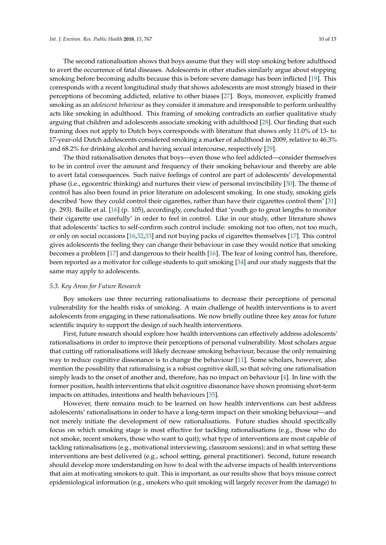The second rationalisation shows that boys assume that they will stop smoking before adulthood to avert the occurrence of fatal diseases. Adolescents in other studies similarly argue about stopping smoking before becoming adults because this is before severe damage has been inflicted [\[19\]](#page-12-8). This corresponds with a recent longitudinal study that shows adolescents are most strongly biased in their perceptions of becoming addicted, relative to other biases [\[27\]](#page-12-15). Boys, moreover, explicitly framed smoking as an *adolescent behaviour* as they consider it immature and irresponsible to perform unhealthy acts like smoking in adulthood. This framing of smoking contradicts an earlier qualitative study arguing that children and adolescents associate smoking with adulthood [\[28\]](#page-12-16). Our finding that such framing does not apply to Dutch boys corresponds with literature that shows only 11.0% of 13- to 17-year-old Dutch adolescents considered smoking a marker of adulthood in 2009, relative to 46.3% and 68.2% for drinking alcohol and having sexual intercourse, respectively [\[29\]](#page-12-17).

The third rationalisation denotes that boys—even those who feel addicted—consider themselves to be in control over the amount and frequency of their smoking behaviour and thereby are able to avert fatal consequences. Such naïve feelings of control are part of adolescents' developmental phase (i.e., egocentric thinking) and nurtures their view of personal invincibility [\[30\]](#page-12-18). The theme of control has also been found in prior literature on adolescent smoking. In one study, smoking girls described 'how they could control their cigarettes, rather than have their cigarettes control them' [\[31\]](#page-12-19) (p. 293). Baille et al. [\[16\]](#page-12-5) (p. 105), accordingly, concluded that 'youth go to great lengths to monitor their cigarette use carefully' in order to feel in control. Like in our study, other literature shows that adolescents' tactics to self-confirm such control include: smoking not too often, not too much, or only on social occasions [\[16](#page-12-5)[,32](#page-12-20)[,33\]](#page-12-21) and not buying packs of cigarettes themselves [\[17\]](#page-12-6). This control gives adolescents the feeling they can change their behaviour in case they would notice that smoking becomes a problem [\[17\]](#page-12-6) and dangerous to their health [\[16\]](#page-12-5). The fear of losing control has, therefore, been reported as a motivator for college students to quit smoking [\[34\]](#page-13-0) and our study suggests that the same may apply to adolescents.

## *5.3. Key Areas for Future Research*

Boy smokers use three recurring rationalisations to decrease their perceptions of personal vulnerability for the health risks of smoking. A main challenge of health interventions is to avert adolescents from engaging in these rationalisations. We now briefly outline three key areas for future scientific inquiry to support the design of such health interventions.

First, future research should explore how health interventions can effectively address adolescents' rationalisations in order to improve their perceptions of personal vulnerability. Most scholars argue that cutting off rationalisations will likely decrease smoking behaviour, because the only remaining way to reduce cognitive dissonance is to change the behaviour [\[11\]](#page-12-0). Some scholars, however, also mention the possibility that rationalising is a robust cognitive skill, so that solving one rationalisation simply leads to the onset of another and, therefore, has no impact on behaviour [\[4\]](#page-11-2). In line with the former position, health interventions that elicit cognitive dissonance have shown promising short-term impacts on attitudes, intentions and health behaviours [\[35\]](#page-13-1).

However, there remains much to be learned on how health interventions can best address adolescents' rationalisations in order to have a long-term impact on their smoking behaviour—and not merely initiate the development of new rationalisations. Future studies should specifically focus on which smoking stage is most effective for tackling rationalisations (e.g., those who do not smoke, recent smokers, those who want to quit); what type of interventions are most capable of tackling rationalisations (e.g., motivational interviewing, classroom sessions); and in what setting these interventions are best delivered (e.g., school setting, general practitioner). Second, future research should develop more understanding on how to deal with the adverse impacts of health interventions that aim at motivating smokers to quit. This is important, as our results show that boys misuse correct epidemiological information (e.g., smokers who quit smoking will largely recover from the damage) to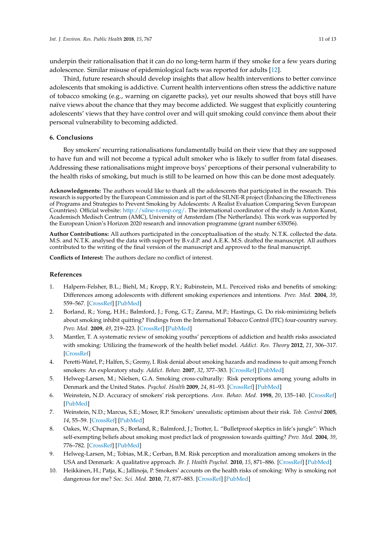underpin their rationalisation that it can do no long-term harm if they smoke for a few years during adolescence. Similar misuse of epidemiological facts was reported for adults [\[12\]](#page-12-1).

Third, future research should develop insights that allow health interventions to better convince adolescents that smoking is addictive. Current health interventions often stress the addictive nature of tobacco smoking (e.g., warning on cigarette packs), yet our results showed that boys still have naïve views about the chance that they may become addicted. We suggest that explicitly countering adolescents' views that they have control over and will quit smoking could convince them about their personal vulnerability to becoming addicted.

## **6. Conclusions**

Boy smokers' recurring rationalisations fundamentally build on their view that they are supposed to have fun and will not become a typical adult smoker who is likely to suffer from fatal diseases. Addressing these rationalisations might improve boys' perceptions of their personal vulnerability to the health risks of smoking, but much is still to be learned on how this can be done most adequately.

**Acknowledgments:** The authors would like to thank all the adolescents that participated in the research. This research is supported by the European Commission and is part of the SILNE-R project (Enhancing the Effectiveness of Programs and Strategies to Prevent Smoking by Adolescents: A Realist Evaluation Comparing Seven European Countries). Official website: [http://silne-r.ensp.org/.](http://silne-r.ensp.org/) The international coordinator of the study is Anton Kunst, Academisch Medisch Centrum (AMC), University of Amsterdam (The Netherlands). This work was supported by the European Union's Horizon 2020 research and innovation programme (grant number 635056).

**Author Contributions:** All authors participated in the conceptualisation of the study. N.T.K. collected the data. M.S. and N.T.K. analysed the data with support by B.v.d.P. and A.E.K. M.S. drafted the manuscript. All authors contributed to the writing of the final version of the manuscript and approved to the final manuscript.

**Conflicts of Interest:** The authors declare no conflict of interest.

## **References**

- <span id="page-11-0"></span>1. Halpern-Felsher, B.L.; Biehl, M.; Kropp, R.Y.; Rubinstein, M.L. Perceived risks and benefits of smoking: Differences among adolescents with different smoking experiences and intentions. *Prev. Med.* **2004**, *39*, 559–567. [\[CrossRef\]](http://dx.doi.org/10.1016/j.ypmed.2004.02.017) [\[PubMed\]](http://www.ncbi.nlm.nih.gov/pubmed/15313096)
- <span id="page-11-1"></span>2. Borland, R.; Yong, H.H.; Balmford, J.; Fong, G.T.; Zanna, M.P.; Hastings, G. Do risk-minimizing beliefs about smoking inhibit quitting? Findings from the International Tobacco Control (ITC) four-country survey. *Prev. Med.* **2009**, *49*, 219–223. [\[CrossRef\]](http://dx.doi.org/10.1016/j.ypmed.2009.06.015) [\[PubMed\]](http://www.ncbi.nlm.nih.gov/pubmed/19573553)
- 3. Mantler, T. A systematic review of smoking youths' perceptions of addiction and health risks associated with smoking: Utilizing the framework of the health belief model. *Addict. Res. Theory* **2012**, *21*, 306–317. [\[CrossRef\]](http://dx.doi.org/10.3109/16066359.2012.727505)
- <span id="page-11-2"></span>4. Peretti-Watel, P.; Halfen, S.; Gremy, I. Risk denial about smoking hazards and readiness to quit among French smokers: An exploratory study. *Addict. Behav.* **2007**, *32*, 377–383. [\[CrossRef\]](http://dx.doi.org/10.1016/j.addbeh.2006.04.002) [\[PubMed\]](http://www.ncbi.nlm.nih.gov/pubmed/16750305)
- <span id="page-11-3"></span>5. Helweg-Larsen, M.; Nielsen, G.A. Smoking cross-culturally: Risk perceptions among young adults in Denmark and the United States. *Psychol. Health* **2009**, *24*, 81–93. [\[CrossRef\]](http://dx.doi.org/10.1080/08870440801932656) [\[PubMed\]](http://www.ncbi.nlm.nih.gov/pubmed/20186641)
- 6. Weinstein, N.D. Accuracy of smokers' risk perceptions. *Ann. Behav. Med.* **1998**, *20*, 135–140. [\[CrossRef\]](http://dx.doi.org/10.1007/BF02884459) [\[PubMed\]](http://www.ncbi.nlm.nih.gov/pubmed/9989319)
- <span id="page-11-4"></span>7. Weinstein, N.D.; Marcus, S.E.; Moser, R.P. Smokers' unrealistic optimism about their risk. *Tob. Control* **2005**, *14*, 55–59. [\[CrossRef\]](http://dx.doi.org/10.1136/tc.2004.008375) [\[PubMed\]](http://www.ncbi.nlm.nih.gov/pubmed/15735301)
- <span id="page-11-5"></span>8. Oakes, W.; Chapman, S.; Borland, R.; Balmford, J.; Trotter, L. "Bulletproof skeptics in life's jungle": Which self-exempting beliefs about smoking most predict lack of progression towards quitting? *Prev. Med.* **2004**, *39*, 776–782. [\[CrossRef\]](http://dx.doi.org/10.1016/j.ypmed.2004.03.001) [\[PubMed\]](http://www.ncbi.nlm.nih.gov/pubmed/15351545)
- <span id="page-11-6"></span>9. Helweg-Larsen, M.; Tobias, M.R.; Cerban, B.M. Risk perception and moralization among smokers in the USA and Denmark: A qualitative approach. *Br. J. Health Psychol.* **2010**, *15*, 871–886. [\[CrossRef\]](http://dx.doi.org/10.1348/135910710X490415) [\[PubMed\]](http://www.ncbi.nlm.nih.gov/pubmed/20181322)
- <span id="page-11-7"></span>10. Heikkinen, H.; Patja, K.; Jallinoja, P. Smokers' accounts on the health risks of smoking: Why is smoking not dangerous for me? *Soc. Sci. Med.* **2010**, *71*, 877–883. [\[CrossRef\]](http://dx.doi.org/10.1016/j.socscimed.2010.05.036) [\[PubMed\]](http://www.ncbi.nlm.nih.gov/pubmed/20619947)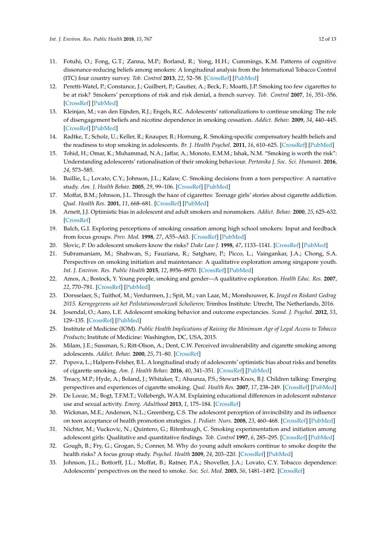- <span id="page-12-0"></span>11. Fotuhi, O.; Fong, G.T.; Zanna, M.P.; Borland, R.; Yong, H.H.; Cummings, K.M. Patterns of cognitive dissonance-reducing beliefs among smokers: A longitudinal analysis from the International Tobacco Control (ITC) four country survey. *Tob. Control* **2013**, *22*, 52–58. [\[CrossRef\]](http://dx.doi.org/10.1136/tobaccocontrol-2011-050139) [\[PubMed\]](http://www.ncbi.nlm.nih.gov/pubmed/22218426)
- <span id="page-12-1"></span>12. Peretti-Watel, P.; Constance, J.; Guilbert, P.; Gautier, A.; Beck, F.; Moatti, J.P. Smoking too few cigarettes to be at risk? Smokers' perceptions of risk and risk denial, a french survey. *Tob. Control* **2007**, *16*, 351–356. [\[CrossRef\]](http://dx.doi.org/10.1136/tc.2007.020362) [\[PubMed\]](http://www.ncbi.nlm.nih.gov/pubmed/17897995)
- <span id="page-12-2"></span>13. Kleinjan, M.; van den Eijnden, R.J.; Engels, R.C. Adolescents' rationalizations to continue smoking: The role of disengagement beliefs and nicotine dependence in smoking cessation. *Addict. Behav.* **2009**, *34*, 440–445. [\[CrossRef\]](http://dx.doi.org/10.1016/j.addbeh.2008.12.010) [\[PubMed\]](http://www.ncbi.nlm.nih.gov/pubmed/19185429)
- <span id="page-12-3"></span>14. Radtke, T.; Scholz, U.; Keller, R.; Knauper, B.; Hornung, R. Smoking-specific compensatory health beliefs and the readiness to stop smoking in adolescents. *Br. J. Health Psychol.* **2011**, *16*, 610–625. [\[CrossRef\]](http://dx.doi.org/10.1348/2044-8287.002001) [\[PubMed\]](http://www.ncbi.nlm.nih.gov/pubmed/21199538)
- <span id="page-12-4"></span>15. Tohid, H.; Omar, K.; Muhammad, N.A.; Jaffar, A.; Monoto, E.M.M.; Ishak, N.M. "Smoking is worth the risk": Understanding adolescents' rationalisation of their smoking behaviour. *Pertanika J. Soc. Sci. Humanit.* **2016**, *24*, 573–585.
- <span id="page-12-5"></span>16. Baillie, L.; Lovato, C.Y.; Johnson, J.L.; Kalaw, C. Smoking decisions from a teen perspective: A narrative study. *Am. J. Health Behav.* **2005**, *29*, 99–106. [\[CrossRef\]](http://dx.doi.org/10.5993/AJHB.29.2.1) [\[PubMed\]](http://www.ncbi.nlm.nih.gov/pubmed/15698977)
- <span id="page-12-6"></span>17. Moffat, B.M.; Johnson, J.L. Through the haze of cigarettes: Teenage girls' stories about cigarette addiction. *Qual. Health Res.* **2001**, *11*, 668–681. [\[CrossRef\]](http://dx.doi.org/10.1177/104973201129119361) [\[PubMed\]](http://www.ncbi.nlm.nih.gov/pubmed/11554194)
- <span id="page-12-7"></span>18. Arnett, J.J. Optimistic bias in adolescent and adult smokers and nonsmokers. *Addict. Behav.* **2000**, *25*, 625–632. [\[CrossRef\]](http://dx.doi.org/10.1016/S0306-4603(99)00072-6)
- <span id="page-12-8"></span>19. Balch, G.I. Exploring perceptions of smoking cessation among high school smokers: Input and feedback from focus groups. *Prev. Med.* **1998**, *27*, A55–A63. [\[CrossRef\]](http://dx.doi.org/10.1006/pmed.1998.0382) [\[PubMed\]](http://www.ncbi.nlm.nih.gov/pubmed/9808818)
- 20. Slovic, P. Do adolescent smokers know the risks? *Duke Law J.* **1998**, *47*, 1133–1141. [\[CrossRef\]](http://dx.doi.org/10.2307/1373033) [\[PubMed\]](http://www.ncbi.nlm.nih.gov/pubmed/10557547)
- <span id="page-12-9"></span>21. Subramaniam, M.; Shahwan, S.; Fauziana, R.; Satghare, P.; Picco, L.; Vaingankar, J.A.; Chong, S.A. Perspectives on smoking initiation and maintenance: A qualitative exploration among singapore youth. *Int. J. Environ. Res. Public Health* **2015**, *12*, 8956–8970. [\[CrossRef\]](http://dx.doi.org/10.3390/ijerph120808956) [\[PubMed\]](http://www.ncbi.nlm.nih.gov/pubmed/26264011)
- <span id="page-12-10"></span>22. Amos, A.; Bostock, Y. Young people, smoking and gender—A qualitative exploration. *Health Educ. Res.* **2007**, *22*, 770–781. [\[CrossRef\]](http://dx.doi.org/10.1093/her/cyl075) [\[PubMed\]](http://www.ncbi.nlm.nih.gov/pubmed/16908497)
- <span id="page-12-11"></span>23. Dorsselaer, S.; Tuithof, M.; Verdurmen, J.; Spit, M.; van Laar, M.; Monshouwer, K. *Jeugd en Riskant Gedrag 2015. Kerngegevens uit het Peilstationonderzoek Scholieren*; Trimbos Institute: Utrecht, The Netherlands, 2016.
- <span id="page-12-12"></span>24. Josendal, O.; Aaro, L.E. Adolescent smoking behavior and outcome expectancies. *Scand. J. Psychol.* **2012**, *53*, 129–135. [\[CrossRef\]](http://dx.doi.org/10.1111/j.1467-9450.2011.00927.x) [\[PubMed\]](http://www.ncbi.nlm.nih.gov/pubmed/22150552)
- <span id="page-12-13"></span>25. Institute of Medicine (IOM). *Public Health Implications of Raising the Minimum Age of Legal Access to Tobacco Products*; Institute of Medicine: Washington, DC, USA, 2015.
- <span id="page-12-14"></span>26. Milam, J.E.; Sussman, S.; Ritt-Olson, A.; Dent, C.W. Perceived invulnerability and cigarette smoking among adolescents. *Addict. Behav.* **2000**, *25*, 71–80. [\[CrossRef\]](http://dx.doi.org/10.1016/S0306-4603(99)00034-9)
- <span id="page-12-15"></span>27. Popova, L.; Halpern-Felsher, B.L. A longitudinal study of adolescents' optimistic bias about risks and benefits of cigarette smoking. *Am. J. Health Behav.* **2016**, *40*, 341–351. [\[CrossRef\]](http://dx.doi.org/10.5993/AJHB.40.3.6) [\[PubMed\]](http://www.ncbi.nlm.nih.gov/pubmed/27103413)
- <span id="page-12-16"></span>28. Treacy, M.P.; Hyde, A.; Boland, J.; Whitaker, T.; Abaunza, P.S.; Stewart-Knox, B.J. Children talking: Emerging perspectives and experiences of cigarette smoking. *Qual. Health Res.* **2007**, *17*, 238–249. [\[CrossRef\]](http://dx.doi.org/10.1177/1049732306297679) [\[PubMed\]](http://www.ncbi.nlm.nih.gov/pubmed/17220394)
- <span id="page-12-17"></span>29. De Looze, M.; Bogt, T.F.M.T.; Vollebergh, W.A.M. Explaining educational differences in adolescent substance use and sexual activity. *Emerg. Adulthood* **2013**, *1*, 175–184. [\[CrossRef\]](http://dx.doi.org/10.1177/2167696812471942)
- <span id="page-12-18"></span>30. Wickman, M.E.; Anderson, N.L.; Greenberg, C.S. The adolescent perception of invincibility and its influence on teen acceptance of health promotion strategies. *J. Pediatr. Nurs.* **2008**, *23*, 460–468. [\[CrossRef\]](http://dx.doi.org/10.1016/j.pedn.2008.02.003) [\[PubMed\]](http://www.ncbi.nlm.nih.gov/pubmed/19026914)
- <span id="page-12-19"></span>31. Nichter, M.; Vuckovic, N.; Quintero, G.; Ritenbaugh, C. Smoking experimentation and initiation among adolescent girls: Qualitative and quantitative findings. *Tob. Control* **1997**, *6*, 285–295. [\[CrossRef\]](http://dx.doi.org/10.1136/tc.6.4.285) [\[PubMed\]](http://www.ncbi.nlm.nih.gov/pubmed/9583626)
- <span id="page-12-20"></span>32. Gough, B.; Fry, G.; Grogan, S.; Conner, M. Why do young adult smokers continue to smoke despite the health risks? A focus group study. *Psychol. Health* **2009**, *24*, 203–220. [\[CrossRef\]](http://dx.doi.org/10.1080/08870440701670570) [\[PubMed\]](http://www.ncbi.nlm.nih.gov/pubmed/20186652)
- <span id="page-12-21"></span>33. Johnson, J.L.; Bottorff, J.L.; Moffat, B.; Ratner, P.A.; Shoveller, J.A.; Lovato, C.Y. Tobacco dependence: Adolescents' perspectives on the need to smoke. *Soc. Sci. Med.* **2003**, *56*, 1481–1492. [\[CrossRef\]](http://dx.doi.org/10.1016/S0277-9536(02)00150-8)